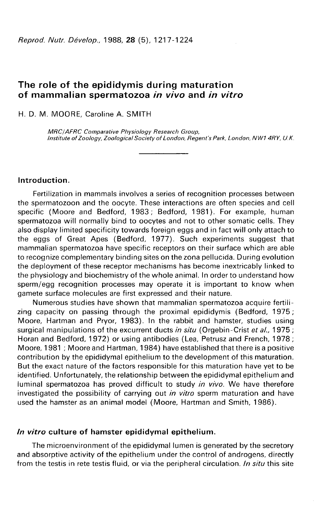# The role of the epididymis during maturation of mammalian spermatozoa in vivo and in vitro

H. D. M. MOORE, Caroline A. SMITH

MRC/AFRC Comparative Physiology Research Group, Institute of Zoology, Zoological Society of London, Regent's Park, London, NW14RY, U.K.

Introduction.

Fertilization in mammals involves a series of recognition processes between the spermatozoon and the oocyte. These interactions are often species and cell specific (Moore and Bedford, 1983; Bedford, 1981). For example, human spermatozoa will normally bind to oocytes and not to other somatic cells. They also display limited specificity towards foreign eggs and in fact will only attach to the eggs of Great Apes (Bedford, 1977). Such experiments suggest that mammalian spermatozoa have specific receptors on their surface which are able to recognize complementary binding sites on the zona pellucida. During evolution the deployment of these receptor mechanisms has become inextricably linked to the physiology and biochemistry of the whole animal. In order to understand how sperm/egg recognition processes may operate it is important to know when gamete surface molecules are first expressed and their nature.

Numerous studies have shown that mammalian spermatozoa acquire fertilizing capacity on passing through the proximal epididymis (Bedford, 1975; Moore, Hartman and Pryor, 1983). In the rabbit and hamster, studies using surgical manipulations of the excurrent ducts in situ (Orgebin-Crist et al., 1975; Horan and Bedford, 1972) or using antibodies (Lea, Petrusz and French, 1978 ; Moore, 1981 ; Moore and Hartman, 1984) have established that there is a positive contribution by the epididymal epithelium to the development of this maturation. But the exact nature of the factors responsible for this maturation have yet to be identified. Unfortunately, the relationship between the epididymal epithelium and luminal spermatozoa has proved difficult to study in vivo. We have therefore investigated the possibility of carrying out *in vitro* sperm maturation and have used the hamster as an animal model (Moore, Hartman and Smith, 1986).

### In vitro culture of hamster epididymal epithelium.

The microenvironment of the epididymal lumen is generated by the secretory and absorptive activity of the epithelium under the control of androgens, directly from the testis in rete testis fluid, or via the peripheral circulation. In situ this site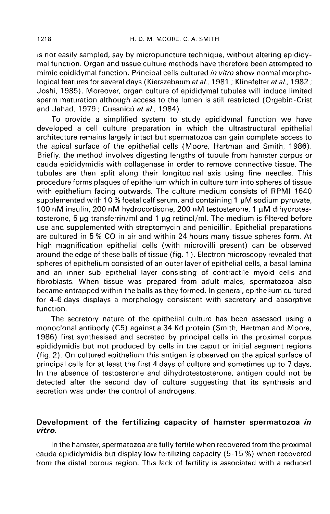is not easily sampled, say by micropuncture technique, without altering epididymal function. Organ and tissue culture methods have therefore been attempted to mimic epididymal function. Principal cells cultured in vitro show normal morphological features for several days (Kierszebaum et al., 1981; Klinefelter et al., 1982; Joshi, 1985). Moreover, organ culture of epididymal tubules will induce limited sperm maturation although access to the lumen is still restricted (Orgebin-Crist and Jahad, 1979 ; Cuasnicú et al., 1984).

To provide a simplified system to study epididymal function we have developed a cell culture preparation in which the ultrastructural epithelial architecture remains largely intact but spermatozoa can gain complete access to the apical surface of the epithelial cells (Moore, Hartman and Smith, 1986). Briefly, the method involves digesting lengths of tubule from hamster corpus or cauda epididymidis with collagenase in order to remove connective tissue. The tubules are then split along their longitudinal axis using fine needles. This procedure forms plaques of epithelium which in culture turn into spheres of tissue with epithelium facing outwards. The culture medium consists of RPMI 1640 supplemented with 10 % foetal calf serum, and containing 1  $\mu$ M sodium pyruvate, 100 nM insulin, 200 nM hydrocortisone, 200 nM testosterone, 1 µM dihydrotestosterone, 5 µg transferrin/ml and 1 µg retinol/ml. The medium is filtered before<br>use and supplemented with streptomycin and penicillin. Epithelial preparations are cultured in 5 % CO in air and within 24 hours many tissue spheres form. At high magnification epithelial cells (with microvilli present) can be observed around the edge of these balls of tissue (fig. 1 ). Electron microscopy revealed that spheres of epithelium consisted of an outer layer of epithelial cells, a basal lamina and an inner sub epithelial layer consisting of contractile myoid cells and fibroblasts. When tissue was prepared from adult males, spermatozoa also became entrapped within the balls as they formed. In general, epithelium cultured for 4-6 days displays a morphology consistent with secretory and absorptive function.

The secretory nature of the epithelial culture has been assessed using a monoclonal antibody (C5) against a 34 Kd protein (Smith, Hartman and Moore, 1986) first synthesised and secreted by principal cells in the proximal corpus epididymidis but not produced by cells in the caput or initial segment regions (fig. 2). On cultured epithelium this antigen is observed on the apical surface of principal cells for at least the first 4 days of culture and sometimes up to 7 days. In the absence of testosterone and dihydrotestosterone, antigen could not be detected after the second day of culture suggesting that its synthesis and secretion was under the control of androgens.

## Development of the fertilizing capacity of hamster spermatozoa in vitro.

In the hamster, spermatozoa are fully fertile when recovered from the proximal cauda epididymidis but display low fertilizing capacity (5-15 %) when recovered from the distal corpus region. This lack of fertility is associated with a reduced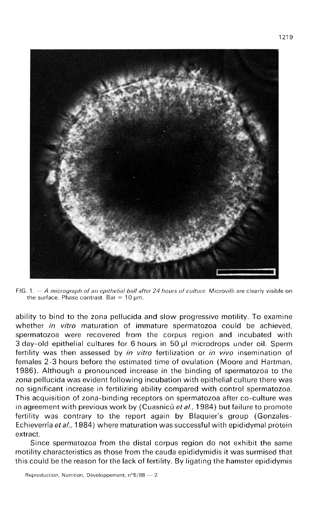

FIG. 1.  $-A$  micrograph of an epithelial ball after 24 hours of culture. Microvilli are clearly visible on the surface. Phase contrast. Bar =  $10 \mu m$ .

ability to bind to the zona pellucida and slow progressive motility. To examine whether *in vitro* maturation of immature spermatozoa could be achieved, spermatozoa were recovered from the corpus region and incubated with 3 day-old epithelial cultures for 6 hours in 50 pl microdrops under oil. Sperm fertility was then assessed by *in vitro* fertilization or *in vivo* insemination of females 2-3 hours before the estimated time of ovulation (Moore and Hartman, 1986). Although a pronounced increase in the binding of spermatozoa to the zona pellucida was evident following incubation with epithelial culture there was no significant increase in fertilizing ability compared with control spermatozoa. This acquisition of zona-binding receptors on spermatozoa after co-culture was in agreement with previous work by (Cuasnicú et al., 1984) but failure to promote fertility was contrary to the report again by Blaquier's group (Gonzales-Echieverría et al., 1984) where maturation was successful with epididymal protein extract.

Since spermatozoa from the distal corpus region do not exhibit the same motility characteristics as those from the cauda epididymidis it was surmised that this could be the reason for the lack of fertility. By ligating the hamster epididymis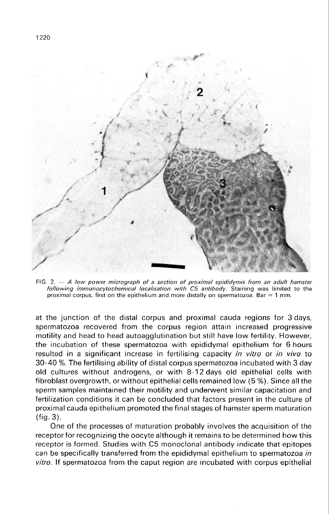

FIG. 2.  $-$  A low power micrograph of a section of proximal epididymis from an adult hamster following immunocytochemical localisation with C5 antibody. Staining was limited to the proximal corpus, first on the epithelium and more distally on spermatozoa. Bar = 1 mm.

at the junction of the distal corpus and proximal cauda regions for 3 days, spermatozoa recovered from the corpus region attain increased progressive motility and head to head autoagglutination but still have low fertility. However, the incubation of these spermatozoa with epididymal epithelium for 6 hours resulted in a significant increase in fertilising capacity in vitro or in vivo to 30-40 %. The fertilising ability of distal corpus spermatozoa incubated with 3 day old cultures without androgens, or with 8-12 days old epithelial cells with fibroblast overgrowth, or without epithelial cells remained low (5 %). Since all the sperm samples maintained their motility and underwent similar capacitation and fertilization conditions it can be concluded that factors present in the culture of proximal cauda epithelium promoted the final stages of hamster sperm maturation (fig. 3).

One of the processes of maturation probably involves the acquisition of the receptor for recognizing the oocyte although it remains to be determined how this receptor is formed. Studies with C5 monoclonal antibody indicate that epitopes can be specifically transferred from the epididymal epithelium to spermatozoa in vitro. If spermatozoa from the caput region are incubated with corpus epithelial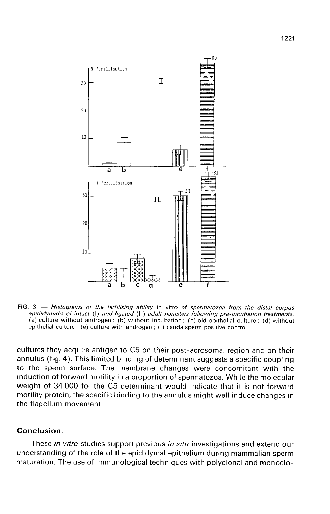

FIG. 3.  $-$  Histograms of the fertilising ability in vitro of spermatozoa from the distal corpus epididymidis of intact (I) and ligated (II) adult hamsters following pre-incubation treatments. (a) culture without androgen; (b) without incubation; (c) old epithelial culture; (d) without epithelial culture ; (e) culture with androgen ; (f) cauda sperm positive control.

cultures they acquire antigen to C5 on their post-acrosomal region and on their annulus (fig. 4). This limited binding of determinant suggests a specific coupling to the sperm surface. The membrane changes were concomitant with the induction of forward motility in a proportion of spermatozoa. While the molecular weight of 34 000 for the C5 determinant would indicate that it is not forward motility protein, the specific binding to the annulus might well induce changes in the flagellum movement.

## Conclusion.

These in vitro studies support previous in situ investigations and extend our understanding of the role of the epididymal epithelium during mammalian sperm maturation. The use of immunological techniques with polyclonal and monoclo-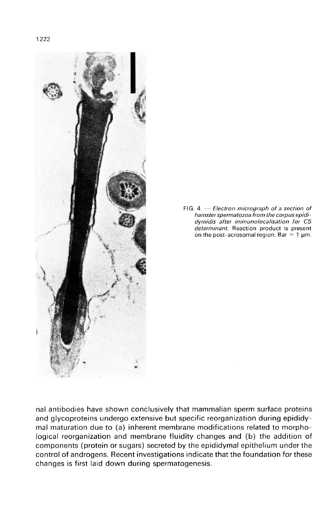

FIG. 4. - Electron micrograph of a section of hamster spermatozoa from the corpus epididymidis after immunolocalisation for C5 determinant. Reaction product is present on the post-acrosomal region. Bar = 1  $\mu$ m.

nal antibodies have shown conclusively that mammalian sperm surface proteins and glycoproteins undergo extensive but specific reorganization during epididymal maturation due to (a) inherent membrane modifications related to morphological reorganization and membrane fluidity changes and (b) the addition of components (protein or sugars) secreted by the epididymal epithelium under the control of androgens. Recent investigations indicate that the foundation for these changes is first laid down during spermatogenesis.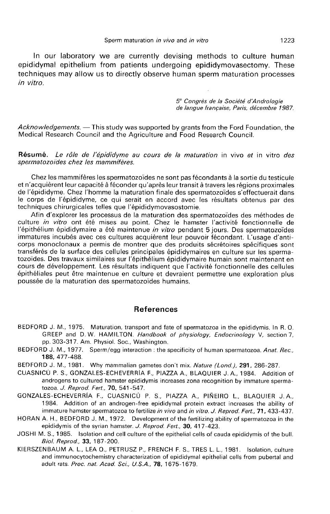In our laboratory we are currently devising methods to culture human epididymal epithelium from patients undergoing epididymovasectomy. These techniques may allow us to directly observe human sperm maturation processes in vitro.

> 5<sup>e</sup> Congrès de la Société d'Andrologie de langue francaise, Paris, décembre 1987.

Acknowledgements. - This study was supported by grants from the Ford Foundation, the Medical Research Council and the Agriculture and Food Research Council.

Résumé. Le rôle de l'épididyme au cours de la maturation in vivo et in vitro des spermatozoides chez les mammifères.

Chez les mammifères les spermatozoïdes ne sont pas fécondants à la sortie du testicule et n'acquièrent leur capacité à féconder qu'après leur transit à travers les régions proximales de l'épididyme. Chez l'homme la maturation finale des spermatozoïdes s'effectuerait dans le corps de l'épididyme, ce qui serait en accord avec les résultats obtenus par des techniques chirurgicales telles que l'épididymovasostomie.

Afin d'explorer les processus de la maturation des spermatozoïdes des méthodes de culture in vitro ont été mises au point. Chez le hamster l'activité fonctionnelle de l'épithélium épididymaire a été maintenue in vitro pendant 5 jours. Des spermatozoïdes immatures incubés avec ces cultures acquièrent leur pouvoir fécondant. L'usage d'anticorps monoclonaux a permis de montrer que des produits sécrétoires spécifiques sont transférés de la surface des cellules principales épididymaires en culture sur les spermatozoïdes. Des travaux similaires sur l'épithélium épididymaire humain sont maintenant en cours de développement. Les résultats indiquent que l'activité fonctionnelle des cellules épithéliales peut être maintenue en culture et devraient permettre une exploration plus poussée de la maturation des spermatozoïdes humains.

### References

- BEDFORD J. M., 1975. Maturation, transport and fate of spermatozoa in the epididymis. In R. 0. GREEP and D.W. HAMILTON. Handbook of physiology, Endocrinology V, section 7, pp. 303-317. Am. Physiol. Soc., Washington.
- BEDFORD J. M., 1977. Sperm/egg interaction : the specificity of human spermatozoa. Anat. Rec., 188, 477-488.
- BEDFORD J. M., 1981. Why mammalian gametes don't mix. Nature (Lond.), 291, 286-287.
- CUASNICÚ P. S., GONZALES-ECHEVERRÍA F., PIAZZA A., BLAQUIER J. A., 1984. Addition of androgens to cultured hamster epididymis increases zona recognition by immature spermatozoa. J. Reprod. Fert., 70, 541-547.
- GONZALES- ECHEVERRÍA F., CUASNICÚ P. S., PIAZZA A., PIÑEIRO L., BLAQUIER J.A., 1984. Addition of an androgen-free epididymal protein extract increases the ability of immature hamster spermatozoa to fertilize in vivo and in vitro. J. Reprod. Fert., 71, 433-437.
- HORAN A. H., BEDFORD J. M., 1972. Development of the fertilizing ability of spermatozoa in the epididymis of the syrian hamster. J. Reprod. Fert., 30, 417-423.
- JOSHI M. S., 1985. Isolation and cell culture of the epithelial cells of cauda epididymis of the bull. Biol. Reprod., 33, 187-200.
- KIERSZENBAUM A. L., LEA 0., PETRUSZ P., FRENCH F. S., TRES L. L., 1981. Isolation, culture and immunocytochemistry characterization of epididymal epithelial cells from pubertal and adult rats. Proc. nat. Acad. Sci., U.S.A., 78, 1675-1679.